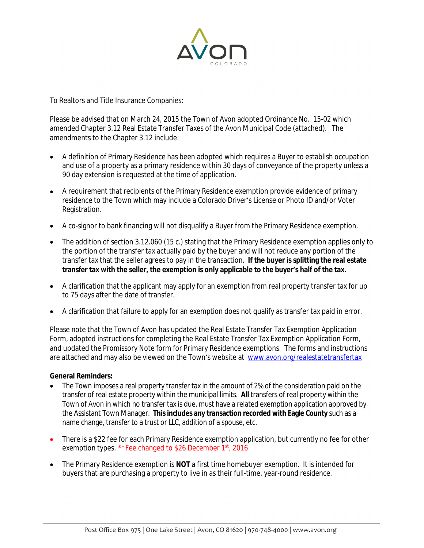

To Realtors and Title Insurance Companies:

Please be advised that on March 24, 2015 the Town of Avon adopted Ordinance No. 15-02 which amended Chapter 3.12 Real Estate Transfer Taxes of the Avon Municipal Code (attached). The amendments to the Chapter 3.12 include:

- A definition of Primary Residence has been adopted which requires a Buyer to establish occupation and use of a property as a primary residence within 30 days of conveyance of the property unless a 90 day extension is requested at the time of application.
- A requirement that recipients of the Primary Residence exemption provide evidence of primary residence to the Town which may include a Colorado Driver's License or Photo ID and/or Voter Registration.
- A co-signor to bank financing will not disqualify a Buyer from the Primary Residence exemption.
- The addition of section 3.12.060 (15 c.) stating that the Primary Residence exemption applies only to the portion of the transfer tax actually paid by the buyer and will not reduce any portion of the transfer tax that the seller agrees to pay in the transaction. **If the buyer is splitting the real estate transfer tax with the seller, the exemption is only applicable to the buyer's half of the tax.**
- A clarification that the applicant may apply for an exemption from real property transfer tax for up to 75 days after the date of transfer.
- A clarification that failure to apply for an exemption does not qualify as transfer tax paid in error.

Please note that the Town of Avon has updated the Real Estate Transfer Tax Exemption Application Form, adopted instructions for completing the Real Estate Transfer Tax Exemption Application Form, and updated the Promissory Note form for Primary Residence exemptions. The forms and instructions are attached and may also be viewed on the Town's website at [www.avon.org/realestatetransfertax](http://www.avon.org/realestatetransfertax)

## **General Reminders:**

- The Town imposes a real property transfer tax in the amount of 2% of the consideration paid on the transfer of real estate property within the municipal limits. **All** transfers of real property within the Town of Avon in which no transfer tax is due, must have a related exemption application approved by the Assistant Town Manager. **Thisincludes any transaction recorded with Eagle County** such as a name change, transfer to a trust or LLC, addition of a spouse, etc.
- There is a \$22 fee for each Primary Residence exemption application, but currently no fee for other exemption types. \*\*Fee changed to \$26 December 1st, 2016
- The Primary Residence exemption is **NOT** a first time homebuyer exemption. It is intended for buyers that are purchasing a property to live in as their full-time, year-round residence.